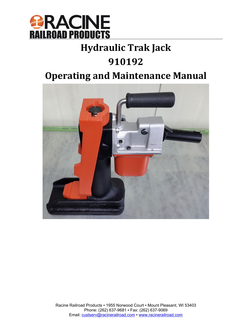

## **Hydraulic Trak Jack**

## **910192**

## **Operating and Maintenance Manual**

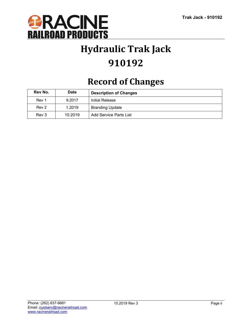

## **Hydraulic Trak Jack 910192**

## **Record of Changes**

| Rev No. | <b>Date</b> | <b>Description of Changes</b> |  |
|---------|-------------|-------------------------------|--|
| Rev 1   | 9.2017      | Initial Release               |  |
| Rev 2   | 1.2019      | <b>Branding Update</b>        |  |
| Rev 3   | 10.2019     | Add Service Parts List        |  |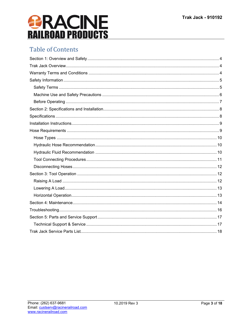# *<u><b>RACINE</u>*<br>RAILROAD PRODUCTS

### **Table of Contents**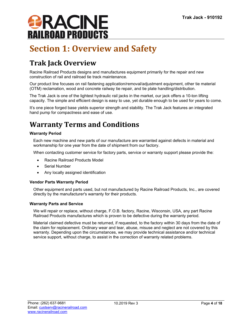

## <span id="page-3-0"></span>**Section 1: Overview and Safety**

### <span id="page-3-1"></span>**Trak Jack Overview**

Racine Railroad Products designs and manufactures equipment primarily for the repair and new construction of rail and railroad tie track maintenance.

Our product line focuses on rail fastening application/removal/adjustment equipment, other tie material (OTM) reclamation, wood and concrete railway tie repair, and tie plate handling/distribution.

The Trak Jack is one of the lightest hydraulic rail jacks in the market, our jack offers a 10-ton lifting capacity. The simple and efficient design is easy to use, yet durable enough to be used for years to come.

It's one piece forged base yields superior strength and stability. The Trak Jack features an integrated hand pump for compactness and ease of use.

### <span id="page-3-2"></span>**Warranty Terms and Conditions**

#### **Warranty Period**

Each new machine and new parts of our manufacture are warranted against defects in material and workmanship for one year from the date of shipment from our factory.

When contacting customer service for factory parts, service or warranty support please provide the:

- Racine Railroad Products Model
- Serial Number
- Any locally assigned identification

#### **Vendor Parts Warranty Period**

Other equipment and parts used, but not manufactured by Racine Railroad Products, Inc., are covered directly by the manufacturer's warranty for their products.

#### **Warranty Parts and Service**

We will repair or replace, without charge, F.O.B. factory, Racine, Wisconsin, USA, any part Racine Railroad Products manufactures which is proven to be defective during the warranty period.

Material claimed defective must be returned, if requested, to the factory within 30 days from the date of the claim for replacement. Ordinary wear and tear, abuse, misuse and neglect are not covered by this warranty. Depending upon the circumstances, we may provide technical assistance and/or technical service support, without charge, to assist in the correction of warranty related problems.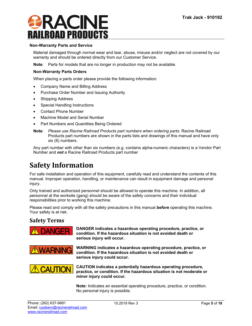#### **Non-Warranty Parts and Service**

Material damaged through normal wear and tear, abuse, misuse and/or neglect are not covered by our warranty and should be ordered directly from our Customer Service.

**Note**: Parts for models that are no longer in production may not be available.

#### **Non-Warranty Parts Orders**

When placing a parts order please provide the following information:

- Company Name and Billing Address
- Purchase Order Number and Issuing Authority
- Shipping Address
- Special Handling Instructions
- Contact Phone Number
- Machine Model and Serial Number
- Part Numbers and Quantities Being Ordered
- **Note**: *Please use Racine Railroad Products part numbers when ordering parts.* Racine Railroad Products part numbers are shown in the parts lists and drawings of this manual and have only six (6) numbers.

Any part number with other than six numbers (e.g. contains alpha-numeric characters) is a Vendor Part Number and *not* a Racine Railroad Products part number

### <span id="page-4-0"></span>**Safety Information**

For safe installation and operation of this equipment, carefully read and understand the contents of this manual. Improper operation, handling, or maintenance can result in equipment damage and personal injury.

Only trained and authorized personnel should be allowed to operate this machine. In addition, all personnel at the worksite (gang) should be aware of the safety concerns and their individual responsibilities prior to working this machine.

Please read and comply with all the safety precautions in this manual *before* operating this machine. Your safety is at risk.

#### <span id="page-4-1"></span>**Safety Terms**



**DANGER indicates a hazardous operating procedure, practice, or condition. If the hazardous situation is not avoided death or serious injury will occur.**



**WARNING indicates a hazardous operating procedure, practice, or condition. If the hazardous situation is not avoided death or serious injury could occur.**



**CAUTION indicates a potentially hazardous operating procedure, practice, or condition. If the hazardous situation is not moderate or minor injury could occur.**

**Note:** Indicates an essential operating procedure, practice, or condition. No personal injury is possible.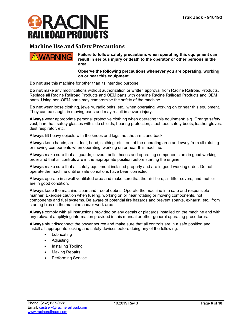

#### <span id="page-5-0"></span>**Machine Use and Safety Precautions**



**Failure to follow safety precautions when operating this equipment can result in serious injury or death to the operator or other persons in the area.**

**Observe the following precautions whenever you are operating, working on or near this equipment.**

**Do not** use this machine for other than its intended purpose.

**Do not** make any modifications without authorization or written approval from Racine Railroad Products. Replace all Racine Railroad Products and OEM parts with genuine Racine Railroad Products and OEM parts. Using non-OEM parts may compromise the safety of the machine.

**Do not** wear loose clothing, jewelry, radio belts, etc., when operating, working on or near this equipment. They can be caught in moving parts and may result in severe injury.

**Always** wear appropriate personal protective clothing when operating this equipment: e.g. Orange safety vest, hard hat, safety glasses with side shields, hearing protection, steel-toed safety boots, leather gloves, dust respirator, etc.

**Always** lift heavy objects with the knees and legs, not the arms and back.

**Always** keep hands, arms, feet, head, clothing, etc., out of the operating area and away from all rotating or moving components when operating, working on or near this machine.

**Always** make sure that all guards, covers, belts, hoses and operating components are in good working order and that all controls are in the appropriate position before starting the engine.

**Always** make sure that all safety equipment installed properly and are in good working order. Do not operate the machine until unsafe conditions have been corrected.

**Always** operate in a well-ventilated area and make sure that the air filters, air filter covers, and muffler are in good condition.

**Always** keep the machine clean and free of debris. Operate the machine in a safe and responsible manner. Exercise caution when fueling, working on or near rotating or moving components, hot components and fuel systems. Be aware of potential fire hazards and prevent sparks, exhaust, etc., from starting fires on the machine and/or work area.

**Always** comply with all instructions provided on any decals or placards installed on the machine and with any relevant amplifying information provided in this manual or other general operating procedures.

**Always** shut disconnect the power source and make sure that all controls are in a safe position and install all appropriate locking and safety devices before doing any of the following:

- Lubricating
- Adjusting
- Installing Tooling
- **Making Repairs**
- Performing Service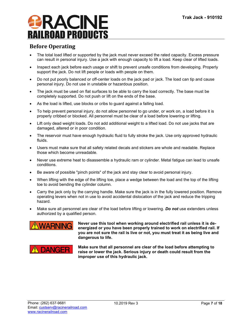#### <span id="page-6-0"></span>**Before Operating**

- The total load lifted or supported by the jack must never exceed the rated capacity. Excess pressure can result in personal injury. Use a jack with enough capacity to lift a load. Keep clear of lifted loads.
- Inspect each jack before each usage or shift to prevent unsafe conditions from developing. Properly support the jack. Do not lift people or loads with people on them.
- Do not put poorly balanced or off-center loads on the jack pad or jack. The load can tip and cause personal injury. Do not use in unstable or hazardous position.
- The jack must be used on flat surfaces to be able to carry the load correctly. The base must be completely supported. Do not push or lift on the ends of the base.
- As the load is lifted, use blocks or cribs to guard against a falling load.
- To help prevent personal injury, do not allow personnel to go under, or work on, a load before it is properly cribbed or blocked. All personnel must be clear of a load before lowering or lifting.
- Lift only dead weight loads. Do not add additional weight to a lifted load. Do not use jacks that are damaged, altered or in poor condition.
- The reservoir must have enough hydraulic fluid to fully stroke the jack. Use only approved hydraulic fluids.
- Users must make sure that all safety related decals and stickers are whole and readable. Replace those which become unreadable.
- Never use extreme heat to disassemble a hydraulic ram or cylinder. Metal fatigue can lead to unsafe conditions.
- Be aware of possible "pinch points" of the jack and stay clear to avoid personal injury.
- When lifting with the edge of the lifting toe, place a wedge between the load and the top of the lifting toe to avoid bending the cylinder column.
- Carry the jack only by the carrying handle. Make sure the jack is in the fully lowered position. Remove operating levers when not in use to avoid accidental dislocation of the jack and reduce the tripping hazard.
- Make sure all personnel are clear of the load before lifting or lowering. *Do not* use extenders unless authorized by a qualified person.



**Never use this tool when working around electrified rail unless it is deenergized or you have been properly trained to work on electrified rail. If you are not sure the rail is live or not, you must treat it as being live and dangerous to life.**



**Make sure that all personnel are clear of the load before attempting to raise or lower the jack. Serious injury or death could result from the improper use of this hydraulic jack.**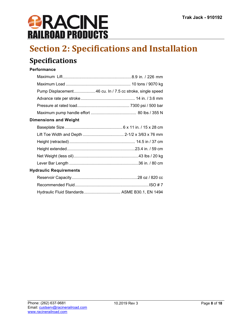## <span id="page-7-0"></span>**Section 2: Specifications and Installation**

### <span id="page-7-1"></span>**Specifications**

#### **Performance**

| Pump Displacement 46 cu. In / 7.5 cc stroke, single speed |
|-----------------------------------------------------------|
|                                                           |
|                                                           |
|                                                           |

#### **Dimensions and Weight**

#### **Hydraulic Requirements**

| Hydraulic Fluid Standards ASME B30.1, EN 1494 |  |
|-----------------------------------------------|--|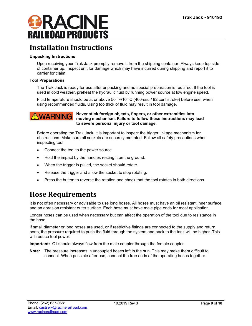

### <span id="page-8-0"></span>**Installation Instructions**

#### **Unpacking Instructions**

Upon receiving your Trak Jack promptly remove it from the shipping container. Always keep top side of container up. Inspect unit for damage which may have incurred during shipping and report it to carrier for claim.

#### **Tool Preparations**

The Trak Jack is ready for use after unpacking and no special preparation is required. If the tool is used in cold weather, preheat the hydraulic fluid by running power source at low engine speed.

Fluid temperature should be at or above 50° F/10° C (400-ssu / 82 centistroke) before use, when using recommended fluids. Using too thick of fluid may result in tool damage.



#### **Never stick foreign objects, fingers, or other extremities into moving mechanism. Failure to follow these instructions may lead to severe personal injury or tool damage.**

Before operating the Trak Jack, it is important to inspect the trigger linkage mechanism for obstructions. Make sure all sockets are securely mounted. Follow all safety precautions when inspecting tool.

- Connect the tool to the power source.
- Hold the impact by the handles resting it on the ground.
- When the trigger is pulled, the socket should rotate.
- Release the trigger and allow the socket to stop rotating.
- Press the button to reverse the rotation and check that the tool rotates in both directions.

### <span id="page-8-1"></span>**Hose Requirements**

It is not often necessary or advisable to use long hoses. All hoses must have an oil resistant inner surface and an abrasion resistant outer surface. Each hose must have male pipe ends for most application.

Longer hoses can be used when necessary but can affect the operation of the tool due to resistance in the hose.

If small diameter or long hoses are used, or if restrictive fittings are connected to the supply and return ports, the pressure required to push the fluid through the system and back to the tank will be higher. This will reduce tool power.

**Important:** Oil should always flow from the male coupler through the female coupler.

**Note:** The pressure increases in uncoupled hoses left in the sun. This may make them difficult to connect. When possible after use, connect the free ends of the operating hoses together.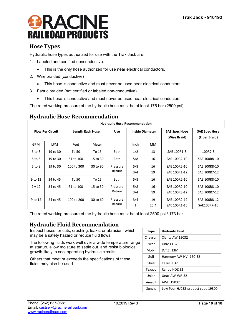#### <span id="page-9-0"></span>**Hose Types**

Hydraulic hose types authorized for use with the Trak Jack are:

- 1. Labeled and certified nonconductive.
	- This is the only hose authorized for use near electrical conductors.
- 2. Wire braided (conductive)
	- This hose is conductive and must never be used near electrical conductors.
- 3. Fabric braided (not certified or labeled non-conductive)
	- This hose is conductive and must never be used near electrical conductors.

The rated working pressure of the hydraulic hose must be at least 175 bar (2500 psi).

| <b>Hydraulic Hose Recommendation</b> |                                                                                            |            |          |                                      |                                       |            |                              |                              |
|--------------------------------------|--------------------------------------------------------------------------------------------|------------|----------|--------------------------------------|---------------------------------------|------------|------------------------------|------------------------------|
|                                      | <b>Flow Per Circuit</b><br><b>Length Each Hose</b><br><b>Inside Diameter</b><br><b>Use</b> |            |          | <b>SAE Spec Hose</b><br>(Wire Braid) | <b>SAE Spec Hose</b><br>(Fiber Braid) |            |                              |                              |
| <b>GPM</b>                           | <b>LPM</b>                                                                                 | Feet       | Meter    |                                      | Inch                                  | <b>MM</b>  |                              |                              |
| 5 to 8                               | 19 to 30                                                                                   | To 50      | To 15    | <b>Both</b>                          | 1/2                                   | 13         | SAE 100R1-8                  | 100R7-8                      |
| $5$ to $8$                           | 19 to 30                                                                                   | 51 to 100  | 15 to 30 | <b>Both</b>                          | 5/8                                   | 16         | SAE 100R2-10                 | SAE 100R8-10                 |
| $5$ to $8$                           | 19 to 30                                                                                   | 100 to 300 | 30 to 90 | Pressure<br>Return                   | 5/8<br>3/4                            | 16<br>19   | SAE 100R2-10<br>SAE 100R1-12 | SAE 100R8-10<br>SAE 100R7-12 |
| 9 to 12                              | 34 to 45                                                                                   | To 50      | To 15    | <b>Both</b>                          | 5/8                                   | 16         | SAE 100R2-10                 | SAE 100R8-10                 |
| 9v12                                 | 34 to 45                                                                                   | 51 to 100  | 15 to 30 | Pressure<br>Return                   | 5/8<br>3/4                            | 16<br>19   | SAE 100R2-10<br>SAE 100R3-12 | SAE 100R8-10<br>SAE 100R7-12 |
| 9 to 12                              | 24 to 45                                                                                   | 100 to 200 | 30 to 60 | Pressure<br>Return                   | 3/4<br>1                              | 19<br>25.4 | SAE 100R2-12<br>SAE 100R1-16 | SAE 100R8-12<br>SAE100R7-16  |

#### <span id="page-9-1"></span>**Hydraulic Hose Recommendation**

The rated working pressure of the hydraulic hose must be at least 2500 psi / 173 bar.

#### <span id="page-9-2"></span>**Hydraulic Fluid Recommendation**

Inspect hoses for cuts, crushing, leaks, or abrasion, which may be a safety hazard or reduce fluid flows.

The following fluids work well over a wide temperature range at startup, allow moisture to settle out, and resist biological growth likely in cool operating hydraulic circuits.

Others that meet or exceeds the specifications of these fluids may also be used.

| <b>Type</b> | <b>Hydraulic fluid</b>            |
|-------------|-----------------------------------|
| Chevron     | Clarity AW 15032                  |
| Exxon       | Univis J 32                       |
| Mobil       | D.T.E. 13M                        |
| Gulf        | Harmony AW-HVI-150-32             |
| Shell       | Tellus T 32                       |
| Texaco      | Rando HDZ 32                      |
| Union       | Unax AW-WR-32                     |
| Amsoil      | AWH 15032                         |
| Sunvis      | Low Pour H/032-product code 19300 |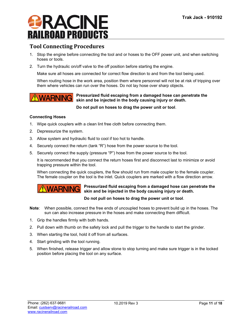

#### <span id="page-10-0"></span>**Tool Connecting Procedures**

- 1. Stop the engine before connecting the tool and or hoses to the OFF power unit, and when switching hoses or tools.
- 2. Turn the hydraulic on/off valve to the off position before starting the engine.

Make sure all hoses are connected for correct flow direction to and from the tool being used.

When routing hose in the work area, position them where personnel will not be at risk of tripping over them where vehicles can run over the hoses. Do not lay hose over sharp objects.



#### **Pressurized fluid escaping from a damaged hose can penetrate the skin and be injected in the body causing injury or death.**

**Do not pull on hoses to drag the power unit or tool**.

#### **Connecting Hoses**

- 1. Wipe quick couplers with a clean lint free cloth before connecting them.
- 2. Depressurize the system.
- 3. Allow system and hydraulic fluid to cool if too hot to handle.
- 4. Securely connect the return (tank "R") hose from the power source to the tool.
- 5. Securely connect the supply (pressure "P") hose from the power source to the tool.

It is recommended that you connect the return hoses first and disconnect last to minimize or avoid trapping pressure within the tool.

When connecting the quick couplers, the flow should run from male coupler to the female coupler. The female coupler on the tool is the inlet. Quick couplers are marked with a flow direction arrow.



**Pressurized fluid escaping from a damaged hose can penetrate the skin and be injected in the body causing injury or death.**

#### **Do not pull on hoses to drag the power unit or tool**.

- **Note**: When possible, connect the free ends of uncoupled hoses to prevent build up in the hoses. The sun can also increase pressure in the hoses and make connecting them difficult.
- 1. Grip the handles firmly with both hands.
- 2. Pull down with thumb on the safety lock and pull the trigger to the handle to start the grinder.
- 3. When starting the tool, hold it off from all surfaces.
- 4. Start grinding with the tool running.
- 5. When finished, release trigger and allow stone to stop turning and make sure trigger is in the locked position before placing the tool on any surface.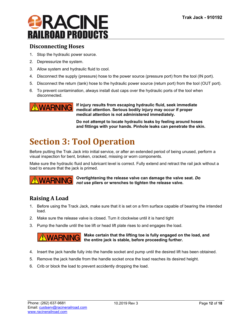#### <span id="page-11-0"></span>**Disconnecting Hoses**

- 1. Stop the hydraulic power source.
- 2. Depressurize the system.
- 3. Allow system and hydraulic fluid to cool.
- 4. Disconnect the supply (pressure) hose to the power source (pressure port) from the tool (IN port).
- 5. Disconnect the return (tank) hose to the hydraulic power source (return port) from the tool (OUT port).
- 6. To prevent contamination, always install dust caps over the hydraulic ports of the tool when disconnected.



**If injury results from escaping hydraulic fluid, seek immediate medical attention. Serious bodily injury may occur if proper medical attention is not administered immediately.**

**Do not attempt to locate hydraulic leaks by feeling around hoses and fittings with your hands. Pinhole leaks can penetrate the skin.**

## <span id="page-11-1"></span>**Section 3: Tool Operation**

Before putting the Trak Jack into initial service, or after an extended period of being unused, perform a visual inspection for bent, broken, cracked, missing or worn components.

Make sure the hydraulic fluid and lubricant level is correct. Fully extend and retract the rail jack without a load to ensure that the jack is primed.

### **WARNING**

**Overtightening the release valve can damage the valve seat.** *Do not* **use pliers or wrenches to tighten the release valve.**

#### <span id="page-11-2"></span>**Raising A Load**

- 1. Before using the Track Jack, make sure that it is set on a firm surface capable of bearing the intended load.
- 2. Make sure the release valve is closed. Turn it clockwise until it is hand tight
- 3. Pump the handle until the toe lift or head lift plate rises to and engages the load.



**Make certain that the lifting toe is fully engaged on the load, and the entire jack is stable, before proceeding further.**

- 4. Insert the jack handle fully into the handle socket and pump until the desired lift has been obtained.
- 5. Remove the jack handle from the handle socket once the load reaches its desired height.
- 6. Crib or block the load to prevent accidently dropping the load.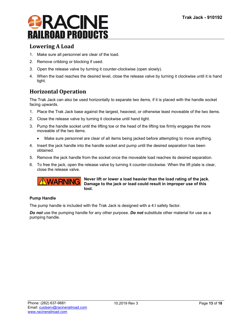#### <span id="page-12-0"></span>**Lowering A Load**

- 1. Make sure all personnel are clear of the load.
- 2. Remove cribbing or blocking if used.
- 3. Open the release valve by turning it counter-clockwise (open slowly).
- 4. When the load reaches the desired level, close the release valve by turning it clockwise until it is hand tight.

#### <span id="page-12-1"></span>**Horizontal Operation**

The Trak Jack can also be used horizontally to separate two items, if it is placed with the handle socket facing upwards.

- 1. Place the Trak Jack base against the largest, heaviest, or otherwise least moveable of the two items.
- 2. Close the release valve by turning it clockwise until hand tight.
- 3. Pump the handle socket until the lifting toe or the head of the lifting toe firmly engages the more moveable of the two items.
	- Make sure personnel are clear of all items being jacked before attempting to move anything.
- 4. Insert the jack handle into the handle socket and pump until the desired separation has been obtained.
- 5. Remove the jack handle from the socket once the moveable load reaches its desired separation.
- 6. To free the jack, open the release valve by turning it counter-clockwise. When the lift plate is clear, close the release valve.



**Never lift or lower a load heavier than the load rating of the jack. Damage to the jack or load could result in improper use of this tool.**

#### **Pump Handle**

The pump handle is included with the Trak Jack is designed with a 4:I safety factor.

*Do not* use the pumping handle for any other purpose. *Do not* substitute other material for use as a pumping handle.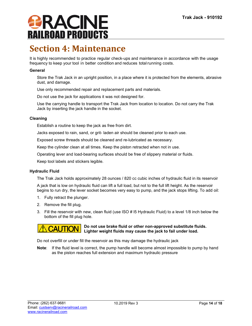### <span id="page-13-0"></span>**Section 4: Maintenance**

It is highly recommended to practice regular check-ups and maintenance in accordance with the usage frequency to keep your tool in better condition and reduces total running costs.

#### **General**

Store the Trak Jack in an upright position, in a place where it is protected from the elements, abrasive dust, and damage.

Use only recommended repair and replacement parts and materials.

Do not use the jack for applications it was not designed for.

Use the carrying handle to transport the Trak Jack from location to location. Do not carry the Trak Jack by inserting the jack handle in the socket.

#### **Cleaning**

Establish a routine to keep the jack as free from dirt.

Jacks exposed to rain, sand, or grit- laden air should be cleaned prior to each use.

Exposed screw threads should be cleaned and re-lubricated as necessary.

Keep the cylinder clean at all times. Keep the piston retracted when not in use.

Operating lever and load-bearing surfaces should be free of slippery material or fluids.

Keep tool labels and stickers legible.

#### **Hydraulic Fluid**

The Trak Jack holds approximately 28 ounces / 820 cc cubic inches of hydraulic fluid in its reservoir

A jack that is low on hydraulic fluid can lift a full load, but not to the full lift height. As the reservoir begins to run dry, the lever socket becomes very easy to pump, and the jack stops lifting. To add oil:

- 1. Fully retract the plunger.
- 2. Remove the fill plug.
- 3. Fill the reservoir with new, clean fluid (use ISO # l5 Hydraulic Fluid) to a level 1/8 inch below the bottom of the fill plug hole.



#### **Do not use brake fluid or other non-approved substitute fluids. Lighter weight fluids may cause the jack to fail under load.**

Do not overfill or under fill the reservoir as this may damage the hydraulic jack

**Note**: If the fluid level is correct, the pump handle will become almost impossible to pump by hand as the piston reaches full extension and maximum hydraulic pressure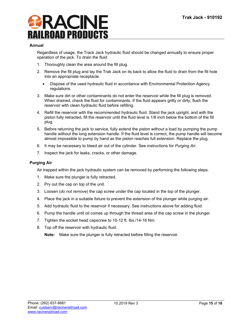#### **Annual**

Regardless of usage, the Track Jack hydraulic fluid should be changed annually to ensure proper operation of the jack. To drain the fluid:

- 1. Thoroughly clean the area around the fill plug.
- 2. Remove the fill plug and lay the Trak Jack on its back to allow the fluid to drain from the fill hole into an appropriate receptacle.
	- Dispose of the used hydraulic fluid in accordance with Environmental Protection Agency regulations.
- 3. Make sure dirt or other contaminants do not enter the reservoir while the fill plug is removed. When drained, check the fluid for contaminants. If the fluid appears gritty or dirty, flush the reservoir with clean hydraulic fluid before refilling.
- 4. Refill the reservoir with the recommended hydraulic fluid. Stand the jack upright, and with the piston fully retracted, fill the reservoir until the fluid level is 1/8 inch below the bottom of the fill plug.
- 5. Before returning the jack to service, fully extend the piston without a load by pumping the pump handle without the long extension handle. If the fluid level is correct, the pump handle will become almost impossible to pump by hand as the piston reaches full extension. Replace the plug.
- 6. It may be necessary to bleed air out of the cylinder. See instructions for *Purging Air*.
- 7. Inspect the jack for leaks, cracks, or other damage.

#### **Purging Air**

Air trapped within the jack hydraulic system can be removed by performing the following steps.

- 1. Make sure the plunger is fully retracted.
- 2. Pry out the cap on top of the unit.
- 3. Loosen (*do not remove*) the cap screw under the cap located in the top of the plunger.
- 4. Place the jack in a suitable fixture to prevent the extension of the plunger while purging air.
- 5. Add hydraulic fluid to the reservoir if necessary. See instructions above for adding fluid.
- 6. Pump the handle until oil comes up through the thread area of the cap screw in the plunger.
- 7. Tighten the socket head capscrew to 10-12 ft. lbs./14-16 Nm.
- 8. Top off the reservoir with hydraulic fluid.

**Note:** Make sure the plunger is fully retracted before filling the reservoir.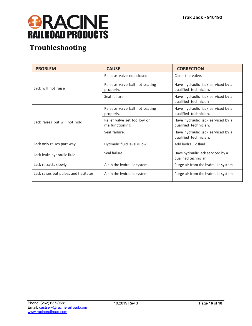

### <span id="page-15-0"></span>**Troubleshooting**

| <b>PROBLEM</b>                        | <b>CAUSE</b>                                                         | <b>CORRECTION</b>                                          |  |
|---------------------------------------|----------------------------------------------------------------------|------------------------------------------------------------|--|
|                                       | Release valve not closed.                                            | Close the valve.                                           |  |
| Jack will not raise                   | Release valve ball not seating<br>properly.                          | Have hydraulic jack serviced by a<br>qualified technician. |  |
|                                       | Seal failure                                                         | Have hydraulic jack serviced by a<br>qualified technician  |  |
|                                       | Release valve ball not seating<br>properly.                          | Have hydraulic jack serviced by a<br>qualified technician. |  |
| Jack raises but will not hold.        | Relief valve set too low or<br>malfunctioning.                       | Have hydraulic jack serviced by a<br>qualified technician. |  |
|                                       | Seal failure.                                                        | Have hydraulic jack serviced by a<br>qualified technician. |  |
| Jack only raises part way.            | Hydraulic fluid level is low.                                        | Add hydraulic fluid.                                       |  |
| Jack leaks hydraulic fluid.           | Seal failure.                                                        | Have hydraulic jack serviced by a<br>qualified technician. |  |
| Jack retracts slowly.                 | Purge air from the hydraulic system.<br>Air in the hydraulic system. |                                                            |  |
| Jack raises but pulses and hesitates. | Air in the hydraulic system.                                         | Purge air from the hydraulic system.                       |  |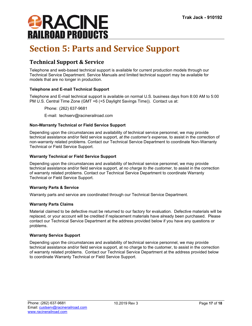

## <span id="page-16-0"></span>**Section 5: Parts and Service Support**

#### <span id="page-16-1"></span>**Technical Support & Service**

Telephone and web-based technical support is available for current production models through our Technical Service Department. Service Manuals and limited technical support may be available for models that are no longer in production.

#### **Telephone and E-mail Technical Support**

Telephone and E-mail technical support is available on normal U.S. business days from 8:00 AM to 5:00 PM U.S. Central Time Zone (GMT +6 (+5 Daylight Savings Time)). Contact us at:

Phone: (262) 637-9681

E-mail: techserv@racinerailroad.com

#### **Non-Warranty Technical or Field Service Support**

Depending upon the circumstances and availability of technical service personnel, we may provide technical assistance and/or field service support, *at the customer's expense*, to assist in the correction of non-warranty related problems. Contact our Technical Service Department to coordinate Non-Warranty Technical or Field Service Support.

#### **Warranty Technical or Field Service Support**

Depending upon the circumstances and availability of technical service personnel, we may provide technical assistance and/or field service support, *at no charge to the customer*, to assist in the correction of warranty related problems. Contact our Technical Service Department to coordinate Warranty Technical or Field Service Support.

#### **Warranty Parts & Service**

Warranty parts and service are coordinated through our Technical Service Department.

#### **Warranty Parts Claims**

Material claimed to be defective must be returned to our factory for evaluation. Defective materials will be replaced, or your account will be credited if replacement materials have already been purchased. Please contact our Technical Service Department at the address provided below if you have any questions or problems.

#### **Warranty Service Support**

Depending upon the circumstances and availability of technical service personnel, we may provide technical assistance and/or field service support, at no charge to the customer, to assist in the correction of warranty related problems. Contact our Technical Service Department at the address provided below to coordinate Warranty Technical or Field Service Support.